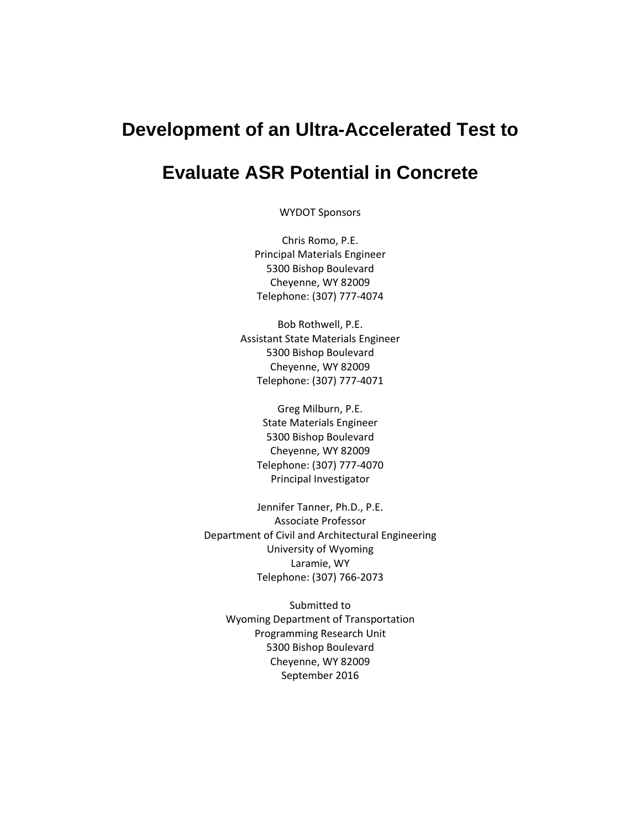# **Development of an Ultra-Accelerated Test to**

# **Evaluate ASR Potential in Concrete**

WYDOT Sponsors

Chris Romo, P.E. Principal Materials Engineer 5300 Bishop Boulevard Cheyenne, WY 82009 Telephone: (307) 777‐4074

Bob Rothwell, P.E. Assistant State Materials Engineer 5300 Bishop Boulevard Cheyenne, WY 82009 Telephone: (307) 777‐4071

> Greg Milburn, P.E. State Materials Engineer 5300 Bishop Boulevard Cheyenne, WY 82009 Telephone: (307) 777‐4070 Principal Investigator

Jennifer Tanner, Ph.D., P.E. Associate Professor Department of Civil and Architectural Engineering University of Wyoming Laramie, WY Telephone: (307) 766‐2073

Submitted to Wyoming Department of Transportation Programming Research Unit 5300 Bishop Boulevard Cheyenne, WY 82009 September 2016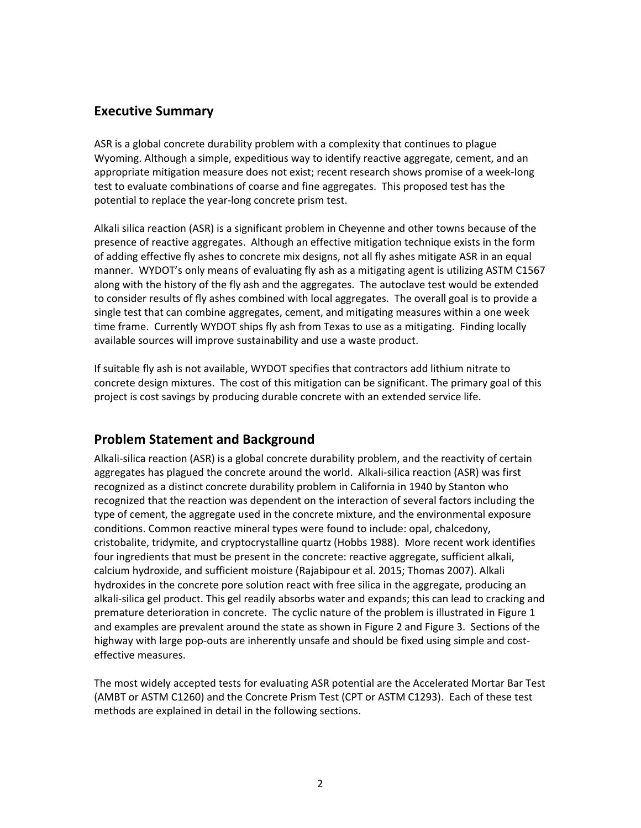## **Executive Summary**

ASR is a global concrete durability problem with a complexity that continues to plague Wyoming. Although a simple, expeditious way to identify reactive aggregate, cement, and an appropriate mitigation measure does not exist; recent research shows promise of a week‐long test to evaluate combinations of coarse and fine aggregates. This proposed test has the potential to replace the year-long concrete prism test.

Alkali silica reaction (ASR) is a significant problem in Cheyenne and other towns because of the presence of reactive aggregates. Although an effective mitigation technique exists in the form of adding effective fly ashes to concrete mix designs, not all fly ashes mitigate ASR in an equal manner. WYDOT's only means of evaluating fly ash as a mitigating agent is utilizing ASTM C1567 along with the history of the fly ash and the aggregates. The autoclave test would be extended to consider results of fly ashes combined with local aggregates. The overall goal is to provide a single test that can combine aggregates, cement, and mitigating measures within a one week time frame. Currently WYDOT ships fly ash from Texas to use as a mitigating. Finding locally available sources will improve sustainability and use a waste product.

If suitable fly ash is not available, WYDOT specifies that contractors add lithium nitrate to concrete design mixtures. The cost of this mitigation can be significant. The primary goal of this project is cost savings by producing durable concrete with an extended service life.

## **Problem Statement and Background**

Alkali‐silica reaction (ASR) is a global concrete durability problem, and the reactivity of certain aggregates has plagued the concrete around the world. Alkali‐silica reaction (ASR) was first recognized as a distinct concrete durability problem in California in 1940 by Stanton who recognized that the reaction was dependent on the interaction of several factors including the type of cement, the aggregate used in the concrete mixture, and the environmental exposure conditions. Common reactive mineral types were found to include: opal, chalcedony, cristobalite, tridymite, and cryptocrystalline quartz (Hobbs 1988). More recent work identifies four ingredients that must be present in the concrete: reactive aggregate, sufficient alkali, calcium hydroxide, and sufficient moisture (Rajabipour et al. 2015; Thomas 2007). Alkali hydroxides in the concrete pore solution react with free silica in the aggregate, producing an alkali‐silica gel product. This gel readily absorbs water and expands; this can lead to cracking and premature deterioration in concrete. The cyclic nature of the problem is illustrated in Figure 1 and examples are prevalent around the state as shown in Figure 2 and Figure 3. Sections of the highway with large pop-outs are inherently unsafe and should be fixed using simple and costeffective measures.

The most widely accepted tests for evaluating ASR potential are the Accelerated Mortar Bar Test (AMBT or ASTM C1260) and the Concrete Prism Test (CPT or ASTM C1293). Each of these test methods are explained in detail in the following sections.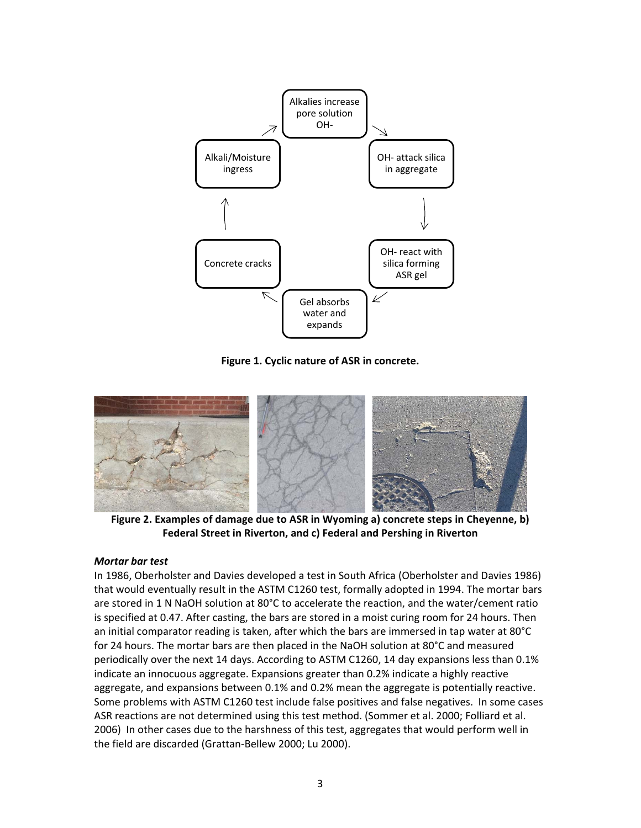

**Figure 1. Cyclic nature of ASR in concrete.**



 **Figure 2. Examples of damage due to ASR in Wyoming a) concrete steps in Cheyenne, b) Federal Street in Riverton, and c) Federal and Pershing in Riverton**

#### *Mortar bar test*

In 1986, Oberholster and Davies developed a test in South Africa (Oberholster and Davies 1986) that would eventually result in the ASTM C1260 test, formally adopted in 1994. The mortar bars are stored in 1 N NaOH solution at 80°C to accelerate the reaction, and the water/cement ratio is specified at 0.47. After casting, the bars are stored in a moist curing room for 24 hours. Then an initial comparator reading is taken, after which the bars are immersed in tap water at 80°C for 24 hours. The mortar bars are then placed in the NaOH solution at 80°C and measured periodically over the next 14 days. According to ASTM C1260, 14 day expansions less than 0.1% indicate an innocuous aggregate. Expansions greater than 0.2% indicate a highly reactive aggregate, and expansions between 0.1% and 0.2% mean the aggregate is potentially reactive. Some problems with ASTM C1260 test include false positives and false negatives. In some cases ASR reactions are not determined using this test method. (Sommer et al. 2000; Folliard et al. 2006) In other cases due to the harshness of this test, aggregates that would perform well in the field are discarded (Grattan‐Bellew 2000; Lu 2000).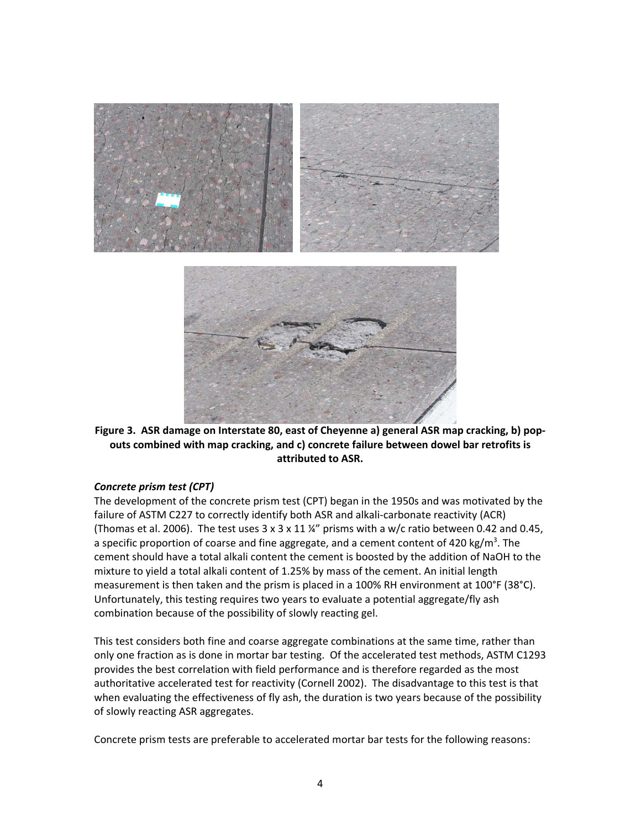

Figure 3. ASR damage on Interstate 80, east of Cheyenne a) general ASR map cracking, b) pop**outs combined with map cracking, and c) concrete failure between dowel bar retrofits is attributed to ASR.**

#### *Concrete prism test (CPT)*

The development of the concrete prism test (CPT) began in the 1950s and was motivated by the failure of ASTM C227 to correctly identify both ASR and alkali‐carbonate reactivity (ACR) (Thomas et al. 2006). The test uses  $3 \times 3 \times 11$  %" prisms with a w/c ratio between 0.42 and 0.45, a specific proportion of coarse and fine aggregate, and a cement content of 420 kg/m<sup>3</sup>. The cement should have a total alkali content the cement is boosted by the addition of NaOH to the mixture to yield a total alkali content of 1.25% by mass of the cement. An initial length measurement is then taken and the prism is placed in a 100% RH environment at 100°F (38°C). Unfortunately, this testing requires two years to evaluate a potential aggregate/fly ash combination because of the possibility of slowly reacting gel.

This test considers both fine and coarse aggregate combinations at the same time, rather than only one fraction as is done in mortar bar testing. Of the accelerated test methods, ASTM C1293 provides the best correlation with field performance and is therefore regarded as the most authoritative accelerated test for reactivity (Cornell 2002). The disadvantage to this test is that when evaluating the effectiveness of fly ash, the duration is two years because of the possibility of slowly reacting ASR aggregates.

Concrete prism tests are preferable to accelerated mortar bar tests for the following reasons: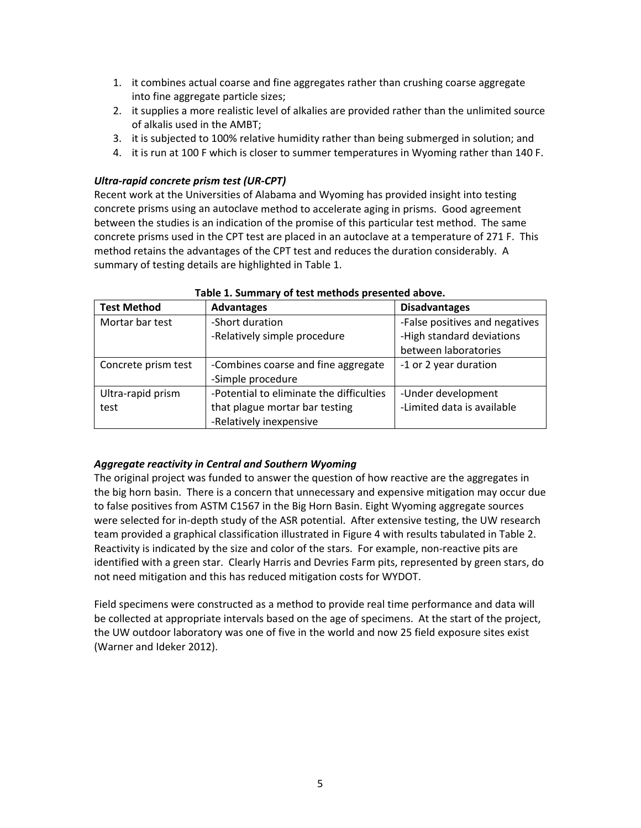- 1. it combines actual coarse and fine aggregates rather than crushing coarse aggregate into fine aggregate particle sizes;
- 2. it supplies a more realistic level of alkalies are provided rather than the unlimited source of alkalis used in the AMBT;
- 3. it is subjected to 100% relative humidity rather than being submerged in solution; and
- 4. it is run at 100 F which is closer to summer temperatures in Wyoming rather than 140 F.

### *Ultra‐rapid concrete prism test (UR‐CPT)*

Recent work at the Universities of Alabama and Wyoming has provided insight into testing concrete prisms using an autoclave method to accelerate aging in prisms. Good agreement between the studies is an indication of the promise of this particular test method. The same concrete prisms used in the CPT test are placed in an autoclave at a temperature of 271 F. This method retains the advantages of the CPT test and reduces the duration considerably. A summary of testing details are highlighted in Table 1.

| <b>Test Method</b>  | <b>Advantages</b>                        | <b>Disadvantages</b>           |
|---------------------|------------------------------------------|--------------------------------|
| Mortar bar test     | -Short duration                          | -False positives and negatives |
|                     | -Relatively simple procedure             | -High standard deviations      |
|                     |                                          | between laboratories           |
| Concrete prism test | -Combines coarse and fine aggregate      | -1 or 2 year duration          |
|                     | -Simple procedure                        |                                |
| Ultra-rapid prism   | -Potential to eliminate the difficulties | -Under development             |
| test                | that plague mortar bar testing           | -Limited data is available     |
|                     | -Relatively inexpensive                  |                                |

#### **Table 1. Summary of test methods presented above.**

#### *Aggregate reactivity in Central and Southern Wyoming*

The original project was funded to answer the question of how reactive are the aggregates in the big horn basin. There is a concern that unnecessary and expensive mitigation may occur due to false positives from ASTM C1567 in the Big Horn Basin. Eight Wyoming aggregate sources were selected for in-depth study of the ASR potential. After extensive testing, the UW research team provided a graphical classification illustrated in Figure 4 with results tabulated in Table 2. Reactivity is indicated by the size and color of the stars. For example, non‐reactive pits are identified with a green star. Clearly Harris and Devries Farm pits, represented by green stars, do not need mitigation and this has reduced mitigation costs for WYDOT.

Field specimens were constructed as a method to provide real time performance and data will be collected at appropriate intervals based on the age of specimens. At the start of the project, the UW outdoor laboratory was one of five in the world and now 25 field exposure sites exist (Warner and Ideker 2012).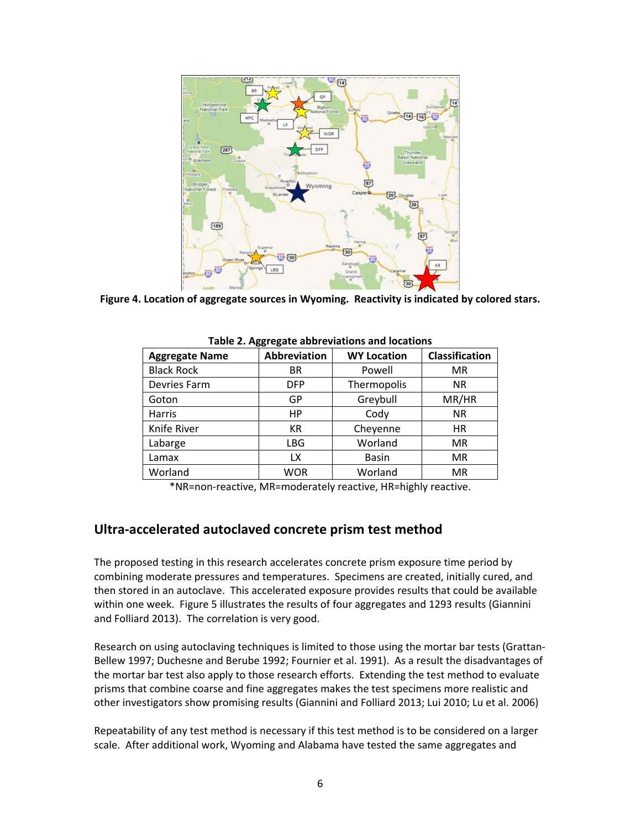

**Figure 4. Location of aggregate sources in Wyoming. Reactivity is indicated by colored stars.**

| <b>Aggregate Name</b> | Abbreviation | <b>WY Location</b> | <b>Classification</b> |
|-----------------------|--------------|--------------------|-----------------------|
| <b>Black Rock</b>     | BR           | Powell             | MR                    |
| Devries Farm          | <b>DFP</b>   | Thermopolis        | <b>NR</b>             |
| Goton                 | GP           | Greybull           | MR/HR                 |
| Harris                | HP           | Cody               | <b>NR</b>             |
| Knife River           | <b>KR</b>    | Cheyenne           | <b>HR</b>             |
| Labarge               | <b>LBG</b>   | Worland            | <b>MR</b>             |
| Lamax                 | LX           | <b>Basin</b>       | <b>MR</b>             |
| Worland               | <b>WOR</b>   | Worland            | <b>MR</b>             |

**Table 2. Aggregate abbreviations and locations**

\*NR=non‐reactive, MR=moderately reactive, HR=highly reactive.

## **Ultra‐accelerated autoclaved concrete prism test method**

The proposed testing in this research accelerates concrete prism exposure time period by combining moderate pressures and temperatures. Specimens are created, initially cured, and then stored in an autoclave. This accelerated exposure provides results that could be available within one week. Figure 5 illustrates the results of four aggregates and 1293 results (Giannini and Folliard 2013). The correlation is very good.

Research on using autoclaving techniques is limited to those using the mortar bar tests (Grattan‐ Bellew 1997; Duchesne and Berube 1992; Fournier et al. 1991). As a result the disadvantages of the mortar bar test also apply to those research efforts. Extending the test method to evaluate prisms that combine coarse and fine aggregates makes the test specimens more realistic and other investigators show promising results (Giannini and Folliard 2013; Lui 2010; Lu et al. 2006)

Repeatability of any test method is necessary if this test method is to be considered on a larger scale. After additional work, Wyoming and Alabama have tested the same aggregates and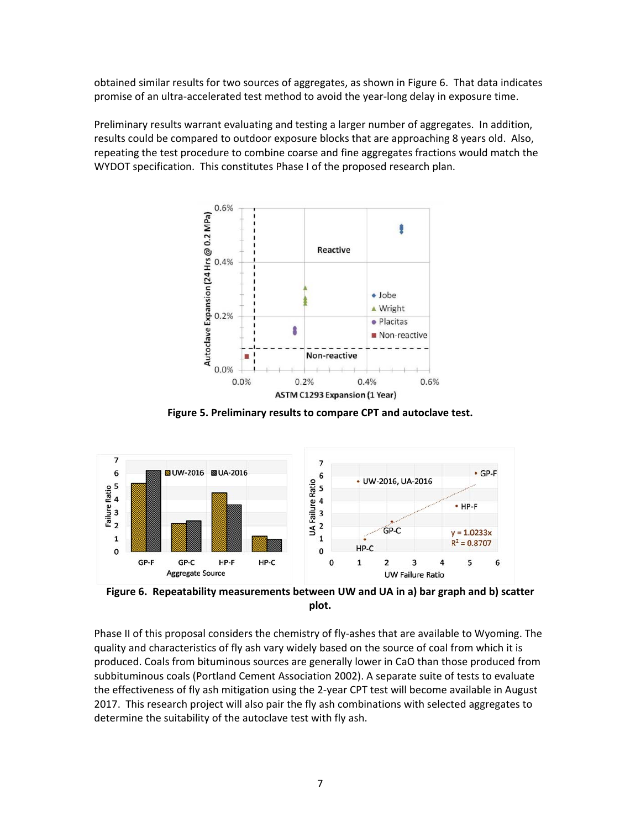obtained similar results for two sources of aggregates, as shown in Figure 6. That data indicates promise of an ultra‐accelerated test method to avoid the year‐long delay in exposure time.

Preliminary results warrant evaluating and testing a larger number of aggregates. In addition, results could be compared to outdoor exposure blocks that are approaching 8 years old. Also, repeating the test procedure to combine coarse and fine aggregates fractions would match the WYDOT specification. This constitutes Phase I of the proposed research plan.



**Figure 5. Preliminary results to compare CPT and autoclave test.**



**plot.**

Phase II of this proposal considers the chemistry of fly‐ashes that are available to Wyoming. The quality and characteristics of fly ash vary widely based on the source of coal from which it is produced. Coals from bituminous sources are generally lower in CaO than those produced from subbituminous coals (Portland Cement Association 2002). A separate suite of tests to evaluate the effectiveness of fly ash mitigation using the 2‐year CPT test will become available in August 2017. This research project will also pair the fly ash combinations with selected aggregates to determine the suitability of the autoclave test with fly ash.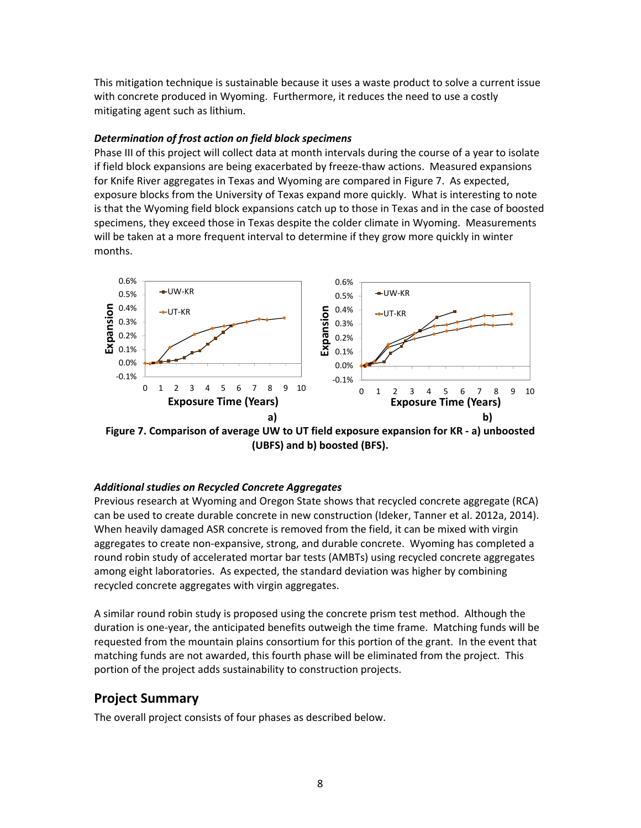This mitigation technique is sustainable because it uses a waste product to solve a current issue with concrete produced in Wyoming. Furthermore, it reduces the need to use a costly mitigating agent such as lithium.

#### *Determination of frost action on field block specimens*

Phase III of this project will collect data at month intervals during the course of a year to isolate if field block expansions are being exacerbated by freeze-thaw actions. Measured expansions for Knife River aggregates in Texas and Wyoming are compared in Figure 7. As expected, exposure blocks from the University of Texas expand more quickly. What is interesting to note is that the Wyoming field block expansions catch up to those in Texas and in the case of boosted specimens, they exceed those in Texas despite the colder climate in Wyoming. Measurements will be taken at a more frequent interval to determine if they grow more quickly in winter months.



**Figure 7. Comparison of average UW to UT field exposure expansion for KR ‐ a) unboosted (UBFS) and b) boosted (BFS).**

### *Additional studies on Recycled Concrete Aggregates*

Previous research at Wyoming and Oregon State shows that recycled concrete aggregate (RCA) can be used to create durable concrete in new construction (Ideker, Tanner et al. 2012a, 2014). When heavily damaged ASR concrete is removed from the field, it can be mixed with virgin aggregates to create non‐expansive, strong, and durable concrete. Wyoming has completed a round robin study of accelerated mortar bar tests (AMBTs) using recycled concrete aggregates among eight laboratories. As expected, the standard deviation was higher by combining recycled concrete aggregates with virgin aggregates.

A similar round robin study is proposed using the concrete prism test method. Although the duration is one‐year, the anticipated benefits outweigh the time frame. Matching funds will be requested from the mountain plains consortium for this portion of the grant. In the event that matching funds are not awarded, this fourth phase will be eliminated from the project. This portion of the project adds sustainability to construction projects.

## **Project Summary**

The overall project consists of four phases as described below.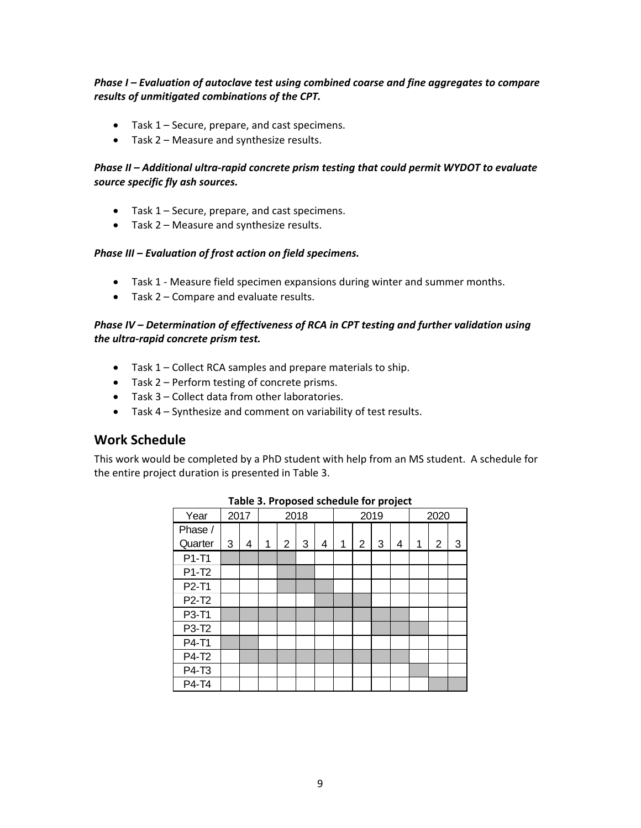### *Phase I – Evaluation of autoclave test using combined coarse and fine aggregates to compare results of unmitigated combinations of the CPT.*

- Task 1 Secure, prepare, and cast specimens.
- Task 2 Measure and synthesize results.

### *Phase II – Additional ultra‐rapid concrete prism testing that could permit WYDOT to evaluate source specific fly ash sources.*

- Task 1 Secure, prepare, and cast specimens.
- Task 2 Measure and synthesize results.

#### *Phase III – Evaluation of frost action on field specimens.*

- Task 1 ‐ Measure field specimen expansions during winter and summer months.
- Task 2 Compare and evaluate results.

#### *Phase IV – Determination of effectiveness of RCA in CPT testing and further validation using the ultra‐rapid concrete prism test.*

- Task 1 Collect RCA samples and prepare materials to ship.
- Task 2 Perform testing of concrete prisms.
- Task 3 Collect data from other laboratories.
- Task 4 Synthesize and comment on variability of test results.

### **Work Schedule**

This work would be completed by a PhD student with help from an MS student. A schedule for the entire project duration is presented in Table 3.

| Year    | 2017 |   | 2018 |   |   | r. - , - - .<br>2019 |   |   | 2020 |   |   |   |   |
|---------|------|---|------|---|---|----------------------|---|---|------|---|---|---|---|
| Phase / |      |   |      |   |   |                      |   |   |      |   |   |   |   |
| Quarter | 3    | 4 | 1    | 2 | 3 | 4                    | 1 | 2 | 3    | 4 | 1 | 2 | 3 |
| P1-T1   |      |   |      |   |   |                      |   |   |      |   |   |   |   |
| P1-T2   |      |   |      |   |   |                      |   |   |      |   |   |   |   |
| P2-T1   |      |   |      |   |   |                      |   |   |      |   |   |   |   |
| P2-T2   |      |   |      |   |   |                      |   |   |      |   |   |   |   |
| P3-T1   |      |   |      |   |   |                      |   |   |      |   |   |   |   |
| P3-T2   |      |   |      |   |   |                      |   |   |      |   |   |   |   |
| P4-T1   |      |   |      |   |   |                      |   |   |      |   |   |   |   |
| P4-T2   |      |   |      |   |   |                      |   |   |      |   |   |   |   |
| P4-T3   |      |   |      |   |   |                      |   |   |      |   |   |   |   |
| P4-T4   |      |   |      |   |   |                      |   |   |      |   |   |   |   |

**Table 3. Proposed schedule for project**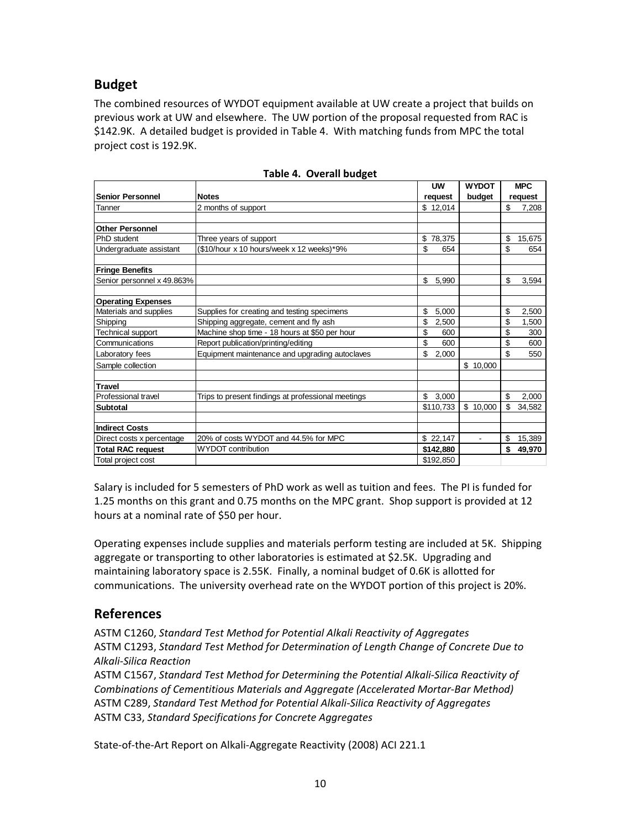# **Budget**

The combined resources of WYDOT equipment available at UW create a project that builds on previous work at UW and elsewhere. The UW portion of the proposal requested from RAC is \$142.9K. A detailed budget is provided in Table 4. With matching funds from MPC the total project cost is 192.9K.

|                            |                                                    | <b>UW</b>   | <b>WYDOT</b>   | <b>MPC</b> |         |  |
|----------------------------|----------------------------------------------------|-------------|----------------|------------|---------|--|
| <b>Senior Personnel</b>    | <b>Notes</b>                                       | request     | budget         |            | request |  |
| Tanner                     | 2 months of support                                | \$12,014    |                | \$         | 7,208   |  |
|                            |                                                    |             |                |            |         |  |
| <b>Other Personnel</b>     |                                                    |             |                |            |         |  |
| PhD student                | Three years of support                             | \$78,375    |                | \$         | 15,675  |  |
| Undergraduate assistant    | (\$10/hour x 10 hours/week x 12 weeks)*9%          | \$<br>654   |                | \$         | 654     |  |
| <b>Fringe Benefits</b>     |                                                    |             |                |            |         |  |
| Senior personnel x 49.863% |                                                    | \$<br>5.990 |                | \$         | 3,594   |  |
| <b>Operating Expenses</b>  |                                                    |             |                |            |         |  |
| Materials and supplies     | Supplies for creating and testing specimens        | \$<br>5,000 |                | \$         | 2,500   |  |
| Shipping                   | Shipping aggregate, cement and fly ash             | \$<br>2.500 |                | \$         | 1,500   |  |
| <b>Technical support</b>   | Machine shop time - 18 hours at \$50 per hour      | \$<br>600   |                | \$         | 300     |  |
| Communications             | Report publication/printing/editing                | \$<br>600   |                | \$         | 600     |  |
| Laboratory fees            | Equipment maintenance and upgrading autoclaves     | \$<br>2,000 |                | \$         | 550     |  |
| Sample collection          |                                                    |             | \$10,000       |            |         |  |
| <b>Travel</b>              |                                                    |             |                |            |         |  |
| Professional travel        | Trips to present findings at professional meetings | \$<br>3,000 |                | \$         | 2,000   |  |
| <b>Subtotal</b>            |                                                    | \$110,733   | \$10,000       | \$         | 34,582  |  |
| <b>Indirect Costs</b>      |                                                    |             |                |            |         |  |
| Direct costs x percentage  | 20% of costs WYDOT and 44.5% for MPC               | \$22,147    | $\blacksquare$ | \$         | 15,389  |  |
| <b>Total RAC request</b>   | <b>WYDOT</b> contribution                          | \$142,880   |                | \$         | 49.970  |  |
| Total project cost         |                                                    | \$192,850   |                |            |         |  |

| Table 4. Overall budget |  |
|-------------------------|--|
|-------------------------|--|

Salary is included for 5 semesters of PhD work as well as tuition and fees. The PI is funded for 1.25 months on this grant and 0.75 months on the MPC grant. Shop support is provided at 12 hours at a nominal rate of \$50 per hour.

Operating expenses include supplies and materials perform testing are included at 5K. Shipping aggregate or transporting to other laboratories is estimated at \$2.5K. Upgrading and maintaining laboratory space is 2.55K. Finally, a nominal budget of 0.6K is allotted for communications. The university overhead rate on the WYDOT portion of this project is 20%.

## **References**

ASTM C1260, *Standard Test Method for Potential Alkali Reactivity of Aggregates* ASTM C1293, *Standard Test Method for Determination of Length Change of Concrete Due to Alkali‐Silica Reaction*

ASTM C1567, *Standard Test Method for Determining the Potential Alkali‐Silica Reactivity of Combinations of Cementitious Materials and Aggregate (Accelerated Mortar‐Bar Method)* ASTM C289, *Standard Test Method for Potential Alkali‐Silica Reactivity of Aggregates* ASTM C33, *Standard Specifications for Concrete Aggregates*

State‐of‐the‐Art Report on Alkali‐Aggregate Reactivity (2008) ACI 221.1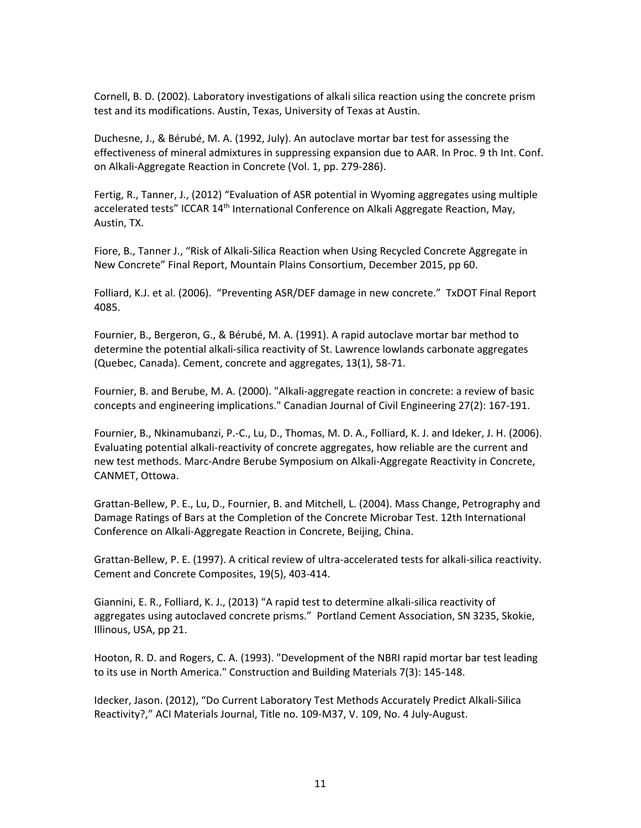Cornell, B. D. (2002). Laboratory investigations of alkali silica reaction using the concrete prism test and its modifications. Austin, Texas, University of Texas at Austin.

Duchesne, J., & Bérubé, M. A. (1992, July). An autoclave mortar bar test for assessing the effectiveness of mineral admixtures in suppressing expansion due to AAR. In Proc. 9 th Int. Conf. on Alkali‐Aggregate Reaction in Concrete (Vol. 1, pp. 279‐286).

Fertig, R., Tanner, J., (2012) "Evaluation of ASR potential in Wyoming aggregates using multiple accelerated tests" ICCAR 14<sup>th</sup> International Conference on Alkali Aggregate Reaction, May, Austin, TX.

Fiore, B., Tanner J., "Risk of Alkali‐Silica Reaction when Using Recycled Concrete Aggregate in New Concrete" Final Report, Mountain Plains Consortium, December 2015, pp 60.

Folliard, K.J. et al. (2006). "Preventing ASR/DEF damage in new concrete." TxDOT Final Report 4085.

Fournier, B., Bergeron, G., & Bérubé, M. A. (1991). A rapid autoclave mortar bar method to determine the potential alkali‐silica reactivity of St. Lawrence lowlands carbonate aggregates (Quebec, Canada). Cement, concrete and aggregates, 13(1), 58‐71.

Fournier, B. and Berube, M. A. (2000). "Alkali‐aggregate reaction in concrete: a review of basic concepts and engineering implications." Canadian Journal of Civil Engineering 27(2): 167‐191.

Fournier, B., Nkinamubanzi, P.‐C., Lu, D., Thomas, M. D. A., Folliard, K. J. and Ideker, J. H. (2006). Evaluating potential alkali‐reactivity of concrete aggregates, how reliable are the current and new test methods. Marc‐Andre Berube Symposium on Alkali‐Aggregate Reactivity in Concrete, CANMET, Ottowa.

Grattan‐Bellew, P. E., Lu, D., Fournier, B. and Mitchell, L. (2004). Mass Change, Petrography and Damage Ratings of Bars at the Completion of the Concrete Microbar Test. 12th International Conference on Alkali‐Aggregate Reaction in Concrete, Beijing, China.

Grattan‐Bellew, P. E. (1997). A critical review of ultra‐accelerated tests for alkali‐silica reactivity. Cement and Concrete Composites, 19(5), 403‐414.

Giannini, E. R., Folliard, K. J., (2013) "A rapid test to determine alkali‐silica reactivity of aggregates using autoclaved concrete prisms." Portland Cement Association, SN 3235, Skokie, Illinous, USA, pp 21.

Hooton, R. D. and Rogers, C. A. (1993). "Development of the NBRI rapid mortar bar test leading to its use in North America." Construction and Building Materials 7(3): 145‐148.

Idecker, Jason. (2012), "Do Current Laboratory Test Methods Accurately Predict Alkali‐Silica Reactivity?," ACI Materials Journal, Title no. 109‐M37, V. 109, No. 4 July‐August.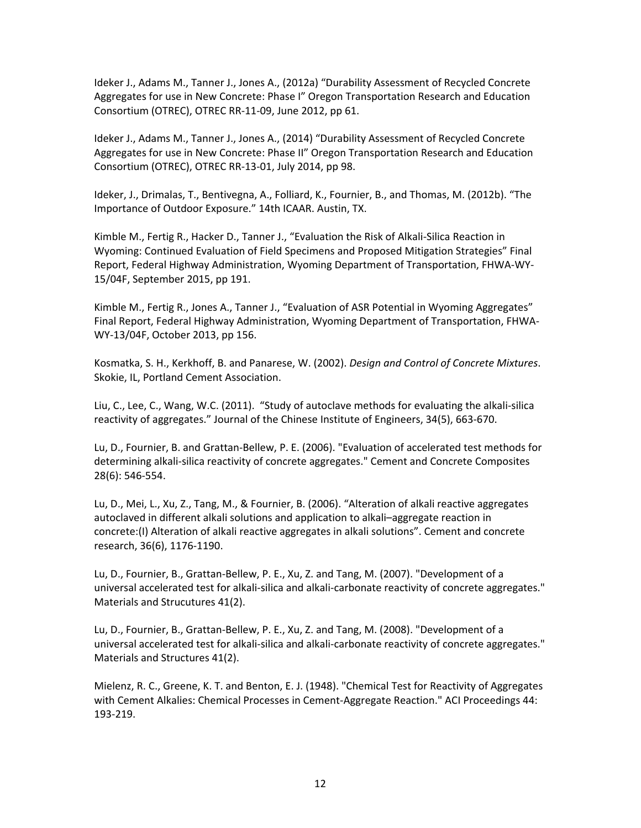Ideker J., Adams M., Tanner J., Jones A., (2012a) "Durability Assessment of Recycled Concrete Aggregates for use in New Concrete: Phase I" Oregon Transportation Research and Education Consortium (OTREC), OTREC RR‐11‐09, June 2012, pp 61.

Ideker J., Adams M., Tanner J., Jones A., (2014) "Durability Assessment of Recycled Concrete Aggregates for use in New Concrete: Phase II" Oregon Transportation Research and Education Consortium (OTREC), OTREC RR‐13‐01, July 2014, pp 98.

Ideker, J., Drimalas, T., Bentivegna, A., Folliard, K., Fournier, B., and Thomas, M. (2012b). "The Importance of Outdoor Exposure." 14th ICAAR. Austin, TX.

Kimble M., Fertig R., Hacker D., Tanner J., "Evaluation the Risk of Alkali‐Silica Reaction in Wyoming: Continued Evaluation of Field Specimens and Proposed Mitigation Strategies" Final Report, Federal Highway Administration, Wyoming Department of Transportation, FHWA‐WY‐ 15/04F, September 2015, pp 191.

Kimble M., Fertig R., Jones A., Tanner J., "Evaluation of ASR Potential in Wyoming Aggregates" Final Report, Federal Highway Administration, Wyoming Department of Transportation, FHWA‐ WY‐13/04F, October 2013, pp 156.

Kosmatka, S. H., Kerkhoff, B. and Panarese, W. (2002). *Design and Control of Concrete Mixtures*. Skokie, IL, Portland Cement Association.

Liu, C., Lee, C., Wang, W.C. (2011). "Study of autoclave methods for evaluating the alkali‐silica reactivity of aggregates." Journal of the Chinese Institute of Engineers, 34(5), 663‐670.

Lu, D., Fournier, B. and Grattan‐Bellew, P. E. (2006). "Evaluation of accelerated test methods for determining alkali‐silica reactivity of concrete aggregates." Cement and Concrete Composites 28(6): 546‐554.

Lu, D., Mei, L., Xu, Z., Tang, M., & Fournier, B. (2006). "Alteration of alkali reactive aggregates autoclaved in different alkali solutions and application to alkali–aggregate reaction in concrete:(I) Alteration of alkali reactive aggregates in alkali solutions". Cement and concrete research, 36(6), 1176‐1190.

Lu, D., Fournier, B., Grattan‐Bellew, P. E., Xu, Z. and Tang, M. (2007). "Development of a universal accelerated test for alkali‐silica and alkali‐carbonate reactivity of concrete aggregates." Materials and Strucutures 41(2).

Lu, D., Fournier, B., Grattan‐Bellew, P. E., Xu, Z. and Tang, M. (2008). "Development of a universal accelerated test for alkali-silica and alkali-carbonate reactivity of concrete aggregates." Materials and Structures 41(2).

Mielenz, R. C., Greene, K. T. and Benton, E. J. (1948). "Chemical Test for Reactivity of Aggregates with Cement Alkalies: Chemical Processes in Cement‐Aggregate Reaction." ACI Proceedings 44: 193‐219.